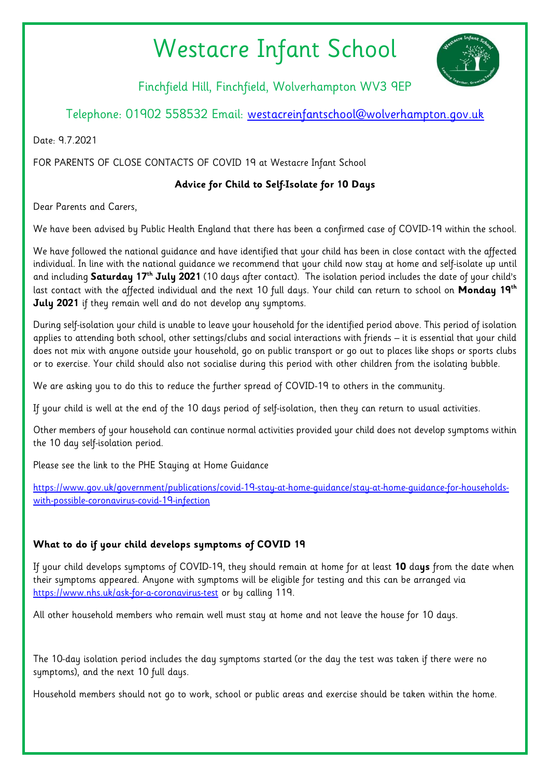# Westacre Infant School



Finchfield Hill, Finchfield, Wolverhampton WV3 9EP

## Telephone: 01902 558532 Email: [westacreinfantschool@wolverhampton.gov.uk](mailto:westacreinfantschool@wolverhampton.gov.uk)

Date: 9.7.2021

FOR PARENTS OF CLOSE CONTACTS OF COVID 19 at Westacre Infant School

## **Advice for Child to Self-Isolate for 10 Days**

Dear Parents and Carers,

We have been advised by Public Health England that there has been a confirmed case of COVID-19 within the school.

We have followed the national guidance and have identified that your child has been in close contact with the affected individual. In line with the national guidance we recommend that your child now stay at home and self-isolate up until and including **Saturday 17th July 2021** (10 days after contact). The isolation period includes the date of your child's last contact with the affected individual and the next 10 full days. Your child can return to school on **Monday 19th July 2021** if they remain well and do not develop any symptoms.

During self-isolation your child is unable to leave your household for the identified period above. This period of isolation applies to attending both school, other settings/clubs and social interactions with friends – it is essential that your child does not mix with anyone outside your household, go on public transport or go out to places like shops or sports clubs or to exercise. Your child should also not socialise during this period with other children from the isolating bubble.

We are asking you to do this to reduce the further spread of COVID-19 to others in the community.

If your child is well at the end of the 10 days period of self-isolation, then they can return to usual activities.

Other members of your household can continue normal activities provided your child does not develop symptoms within the 10 day self-isolation period.

Please see the link to the PHE Staying at Home Guidance

[https://www.gov.uk/government/publications/covid-19-stay-at-home-guidance/stay-at-home-guidance-for-households](https://www.gov.uk/government/publications/covid-19-stay-at-home-guidance/stay-at-home-guidance-for-households-with-possible-coronavirus-covid-19-infection)[with-possible-coronavirus-covid-19-infection](https://www.gov.uk/government/publications/covid-19-stay-at-home-guidance/stay-at-home-guidance-for-households-with-possible-coronavirus-covid-19-infection)

## **What to do if your child develops symptoms of COVID 19**

If your child develops symptoms of COVID-19, they should remain at home for at least **10** da**ys** from the date when their symptoms appeared. Anyone with symptoms will be eligible for testing and this can be arranged via <https://www.nhs.uk/ask-for-a-coronavirus-test> or by calling 119.

All other household members who remain well must stay at home and not leave the house for 10 days.

The 10-day isolation period includes the day symptoms started (or the day the test was taken if there were no symptoms), and the next 10 full days.

Household members should not go to work, school or public areas and exercise should be taken within the home.